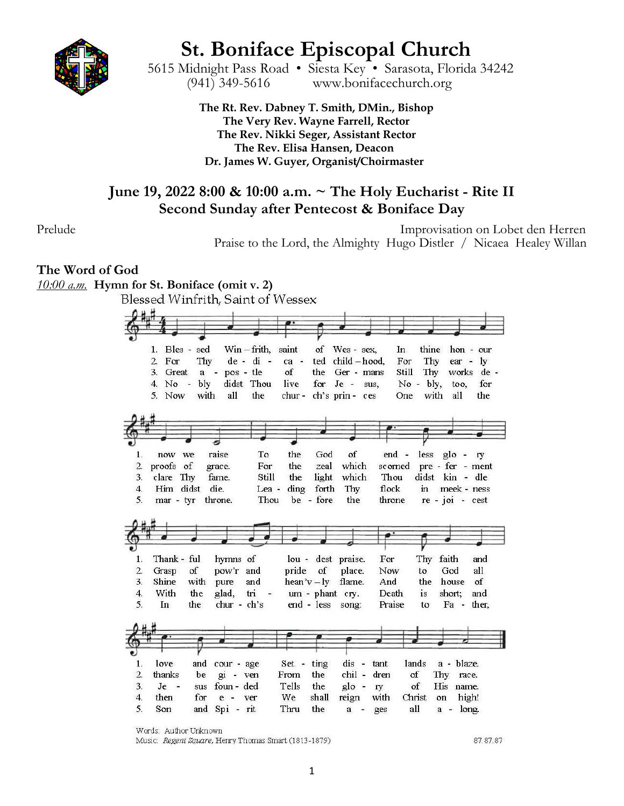

# **St. Boniface Episcopal Church**

 5615 Midnight Pass Road • Siesta Key • Sarasota, Florida 34242 (941) 349-5616 www.bonifacechurch.org

> **The Rt. Rev. Dabney T. Smith, DMin., Bishop The Very Rev. Wayne Farrell, Rector The Rev. Nikki Seger, Assistant Rector The Rev. Elisa Hansen, Deacon Dr. James W. Guyer, Organist/Choirmaster**

# **June 19, 2022 8:00 & 10:00 a.m. ~ The Holy Eucharist - Rite II Second Sunday after Pentecost & Boniface Day**

Prelude Improvisation on Lobet den Herren Praise to the Lord, the Almighty Hugo Distler / Nicaea Healey Willan

# **The Word of God**

*10:00 a.m.* **Hymn for St. Boniface (omit v. 2)**

Blessed Winfrith, Saint of Wessex  $A \cup H$ 

|                                                                                | Bles - sed<br>1.           |            |                          | $Win$ - frith, saint |               | of                          | Wes - sex,         | In.          | thine        |                   | $hon - our$  |
|--------------------------------------------------------------------------------|----------------------------|------------|--------------------------|----------------------|---------------|-----------------------------|--------------------|--------------|--------------|-------------------|--------------|
|                                                                                | 2.<br>For                  | Thy        |                          | $de - di -$          | ca -          | ted                         | $child -hood$ .    | For          | Thy          | ear -             | $\mathbf{I}$ |
|                                                                                | 3.<br>Great                | a          | pos - tle<br>$\sim$      |                      | of            | the                         | Ger - mans         | Still        | Thy          |                   | works de -   |
|                                                                                | 4.<br>No<br>$\blacksquare$ | bly        |                          | didst Thou           | live          | for                         | $Je - sus$ ,       |              | $No - bly$ , | too.              | for          |
|                                                                                | 5.<br>Now                  | with       | all                      | the                  | chur-         |                             | ch's prin-ces      | One          | with         | all               | the          |
|                                                                                |                            |            |                          |                      |               |                             |                    |              |              |                   |              |
|                                                                                |                            |            |                          |                      |               |                             |                    |              |              |                   |              |
|                                                                                |                            |            |                          |                      |               |                             |                    |              |              |                   |              |
|                                                                                |                            |            |                          |                      |               |                             |                    |              |              |                   |              |
| 1.                                                                             | we<br>now                  |            | raise                    | To                   | the           | God                         | of                 | end -        | less         | $g$ lo -          | <b>ry</b>    |
| 2.                                                                             | proofs of                  |            | grace.                   | For                  | the           | zeal                        | which              | scorned      |              | pre - fer - ment  |              |
| 3.                                                                             | Thy<br>clare               |            | fame.                    | Still                | the           | light                       | which              | Thou         |              | didst kin - dle   |              |
| 4.                                                                             | Him didst                  |            | die.                     | Lea -                | ding          | forth                       | Thy                | flock        | $\mathbf{m}$ | meek - ness       |              |
| 5.                                                                             | mar - tyr                  |            | throne.                  | Thou                 |               | be - fore                   | the                | throne       |              | $re - joi - cest$ |              |
|                                                                                |                            |            |                          |                      |               |                             |                    |              |              |                   |              |
|                                                                                |                            |            |                          |                      |               |                             |                    |              |              |                   |              |
|                                                                                |                            |            |                          |                      |               |                             |                    |              |              |                   |              |
|                                                                                |                            |            |                          |                      |               |                             |                    |              |              |                   |              |
|                                                                                |                            |            |                          |                      |               |                             |                    |              |              |                   |              |
|                                                                                |                            |            |                          |                      |               |                             |                    |              |              |                   |              |
|                                                                                | Thank - ful                |            | hymns of                 |                      |               |                             | lou - dest praise. | For          |              | Thy faith         | and          |
|                                                                                | Grasp                      | of         | pow'r and                |                      |               | pride of                    | place.             | Now          | to           | God               | all          |
|                                                                                | Shine                      | with       | pure                     | and                  |               | $\text{hean'}v - \text{ly}$ | flame.             | And          | the          | house             | of           |
|                                                                                | With                       | the        | glad,                    | tri                  |               | um - phant cry.             |                    | Death        | is           | short;            | and          |
|                                                                                | In                         | the        | chur - ch's              |                      |               | end - less                  | song:              | Praise       | to           | Fa - ther,        |              |
|                                                                                |                            |            |                          |                      |               |                             |                    |              |              |                   |              |
|                                                                                |                            |            |                          |                      |               |                             |                    |              |              |                   |              |
|                                                                                |                            |            |                          |                      |               |                             |                    |              |              |                   |              |
|                                                                                | love                       |            |                          |                      |               |                             | $\frac{1}{2}$      |              | lands        |                   |              |
|                                                                                | thanks                     | and<br>be  | cour - age               |                      | Set -<br>From | ting<br>the                 | dis<br>chil -      | tant<br>dren | of           | a - blaze.        | race.        |
|                                                                                | $\ddot{ }$                 |            | $gi - ven$<br>foun - ded |                      |               |                             |                    |              |              | Thy               |              |
| 1.<br>2.<br>3.<br>4.<br>5.<br>1.<br>$\overline{2}$ .<br>3.<br>$\overline{4}$ . | Je<br>then                 | sus<br>for | $e -$                    | ver                  | Tells<br>We   | the<br>shall                | $g$ lo -<br>reign  | ry<br>with   | of<br>Christ | His name.<br>on   | high!        |

Words: Author Unknown

Music: Regent Square, Henry Thomas Smart (1813-1879)

87.87.87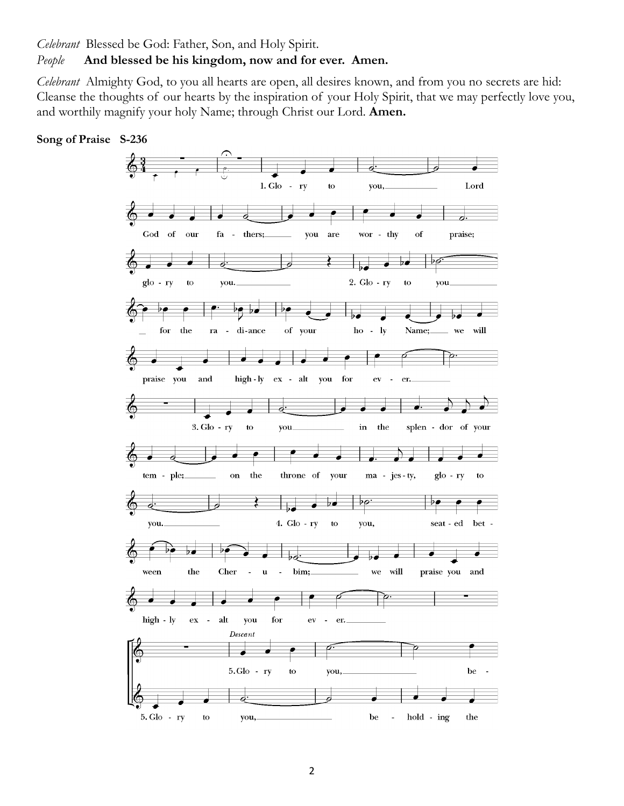*Celebrant* Blessed be God: Father, Son, and Holy Spirit.

#### *People* **And blessed be his kingdom, now and for ever. Amen.**

*Celebrant* Almighty God, to you all hearts are open, all desires known, and from you no secrets are hid: Cleanse the thoughts of our hearts by the inspiration of your Holy Spirit, that we may perfectly love you, and worthily magnify your holy Name; through Christ our Lord. **Amen.**



#### **Song of Praise S-236**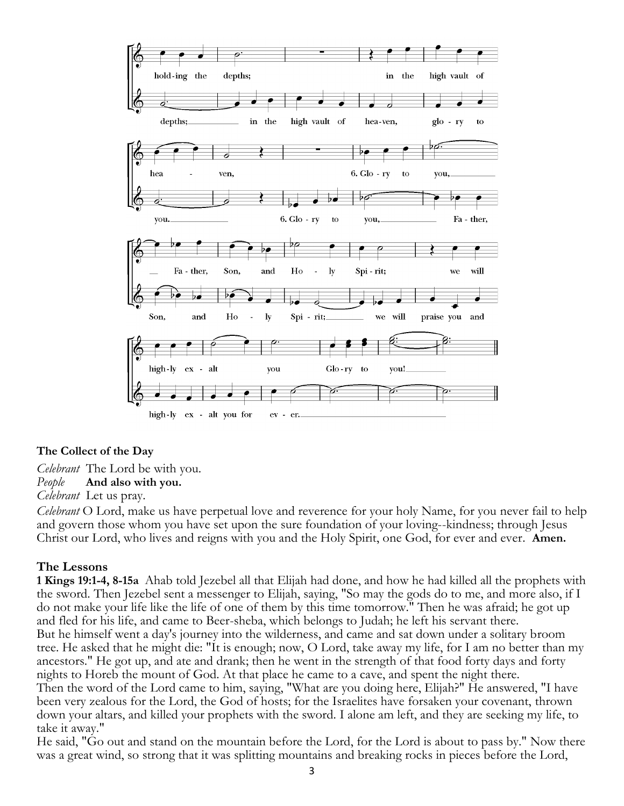

#### **The Collect of the Day**

*Celebrant* The Lord be with you.

*People* **And also with you.** 

*Celebrant* Let us pray.

*Celebrant* O Lord, make us have perpetual love and reverence for your holy Name, for you never fail to help and govern those whom you have set upon the sure foundation of your loving--kindness; through Jesus Christ our Lord, who lives and reigns with you and the Holy Spirit, one God, for ever and ever. **Amen.**

#### **The Lessons**

**1 Kings 19:1-4, 8-15a** Ahab told Jezebel all that Elijah had done, and how he had killed all the prophets with the sword. Then Jezebel sent a messenger to Elijah, saying, "So may the gods do to me, and more also, if I do not make your life like the life of one of them by this time tomorrow." Then he was afraid; he got up and fled for his life, and came to Beer-sheba, which belongs to Judah; he left his servant there. But he himself went a day's journey into the wilderness, and came and sat down under a solitary broom tree. He asked that he might die: "It is enough; now, O Lord, take away my life, for I am no better than my ancestors." He got up, and ate and drank; then he went in the strength of that food forty days and forty nights to Horeb the mount of God. At that place he came to a cave, and spent the night there. Then the word of the Lord came to him, saying, "What are you doing here, Elijah?" He answered, "I have been very zealous for the Lord, the God of hosts; for the Israelites have forsaken your covenant, thrown down your altars, and killed your prophets with the sword. I alone am left, and they are seeking my life, to take it away."

He said, "Go out and stand on the mountain before the Lord, for the Lord is about to pass by." Now there was a great wind, so strong that it was splitting mountains and breaking rocks in pieces before the Lord,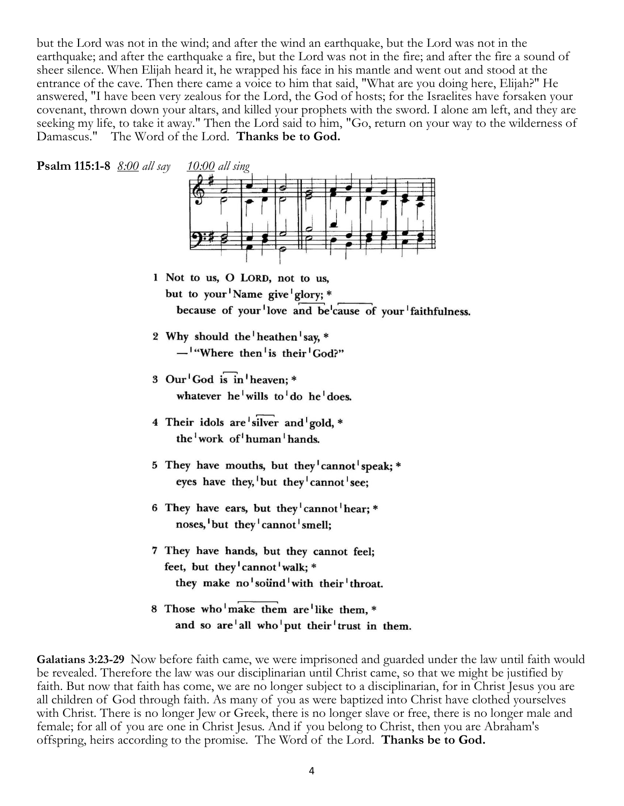but the Lord was not in the wind; and after the wind an earthquake, but the Lord was not in the earthquake; and after the earthquake a fire, but the Lord was not in the fire; and after the fire a sound of sheer silence. When Elijah heard it, he wrapped his face in his mantle and went out and stood at the entrance of the cave. Then there came a voice to him that said, "What are you doing here, Elijah?" He answered, "I have been very zealous for the Lord, the God of hosts; for the Israelites have forsaken your covenant, thrown down your altars, and killed your prophets with the sword. I alone am left, and they are seeking my life, to take it away." Then the Lord said to him, "Go, return on your way to the wilderness of Damascus." The Word of the Lord. **Thanks be to God.**





- 1 Not to us, O LORD, not to us, but to your Name give glory; \* because of your love and be cause of your faithfulness.
- 2 Why should the heathen say, \* - "Where then' is their' God?"
- 3 Our<sup>1</sup>God is in heaven: \* whatever he<sup>1</sup> wills to<sup>1</sup> do he<sup>1</sup> does.
- 4 Their idols are silver and gold. \* the work of human hands.
- 5 They have mouths, but they cannot speak; \* eyes have they, but they cannot see;
- 6 They have ears, but they cannot hear; \* noses, but they cannot smell;
- 7 They have hands, but they cannot feel; feet, but they cannot walk; \* they make no<sup>1</sup>sound<sup>1</sup>with their<sup>1</sup>throat.
- 8 Those who'make them are like them, \* and so are all who put their trust in them.

**Galatians 3:23-29** Now before faith came, we were imprisoned and guarded under the law until faith would be revealed. Therefore the law was our disciplinarian until Christ came, so that we might be justified by faith. But now that faith has come, we are no longer subject to a disciplinarian, for in Christ Jesus you are all children of God through faith. As many of you as were baptized into Christ have clothed yourselves with Christ. There is no longer Jew or Greek, there is no longer slave or free, there is no longer male and female; for all of you are one in Christ Jesus. And if you belong to Christ, then you are Abraham's offspring, heirs according to the promise. The Word of the Lord. **Thanks be to God.**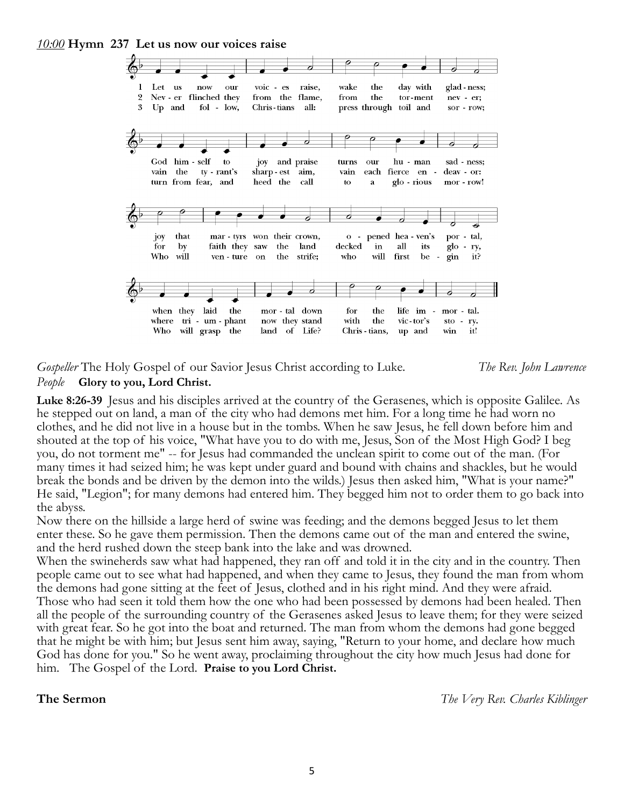*10:00* **Hymn 237 Let us now our voices raise**



*Gospeller* The Holy Gospel of our Savior Jesus Christ according to Luke. *The Rev. John Lawrence People* **Glory to you, Lord Christ.**

#### **Luke 8:26-39** Jesus and his disciples arrived at the country of the Gerasenes, which is opposite Galilee. As he stepped out on land, a man of the city who had demons met him. For a long time he had worn no clothes, and he did not live in a house but in the tombs. When he saw Jesus, he fell down before him and shouted at the top of his voice, "What have you to do with me, Jesus, Son of the Most High God? I beg you, do not torment me" -- for Jesus had commanded the unclean spirit to come out of the man. (For many times it had seized him; he was kept under guard and bound with chains and shackles, but he would break the bonds and be driven by the demon into the wilds.) Jesus then asked him, "What is your name?" He said, "Legion"; for many demons had entered him. They begged him not to order them to go back into the abyss.

Now there on the hillside a large herd of swine was feeding; and the demons begged Jesus to let them enter these. So he gave them permission. Then the demons came out of the man and entered the swine, and the herd rushed down the steep bank into the lake and was drowned.

When the swineherds saw what had happened, they ran off and told it in the city and in the country. Then people came out to see what had happened, and when they came to Jesus, they found the man from whom the demons had gone sitting at the feet of Jesus, clothed and in his right mind. And they were afraid. Those who had seen it told them how the one who had been possessed by demons had been healed. Then all the people of the surrounding country of the Gerasenes asked Jesus to leave them; for they were seized with great fear. So he got into the boat and returned. The man from whom the demons had gone begged that he might be with him; but Jesus sent him away, saying, "Return to your home, and declare how much God has done for you." So he went away, proclaiming throughout the city how much Jesus had done for him. The Gospel of the Lord. **Praise to you Lord Christ.**

**The Sermon** *The Very Rev. Charles Kiblinger*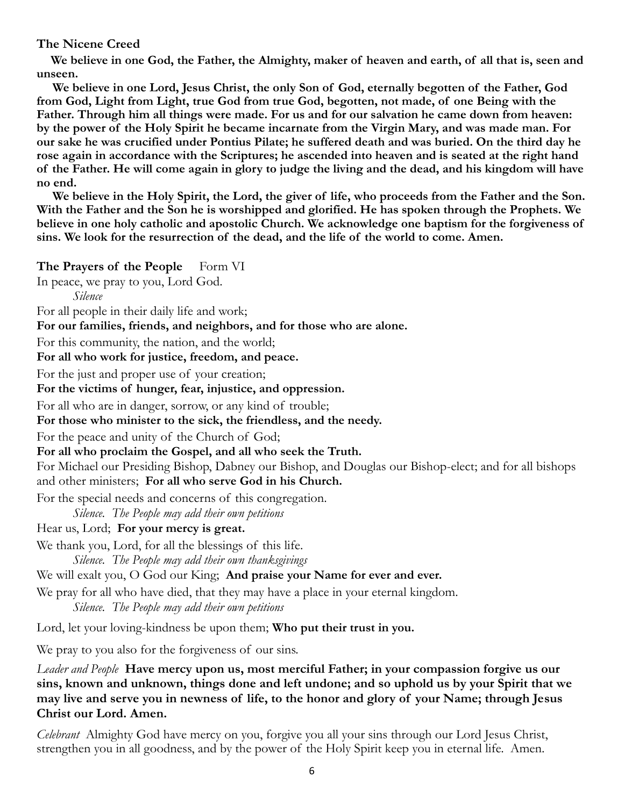#### **The Nicene Creed**

 **We believe in one God, the Father, the Almighty, maker of heaven and earth, of all that is, seen and unseen.**

 **We believe in one Lord, Jesus Christ, the only Son of God, eternally begotten of the Father, God from God, Light from Light, true God from true God, begotten, not made, of one Being with the Father. Through him all things were made. For us and for our salvation he came down from heaven: by the power of the Holy Spirit he became incarnate from the Virgin Mary, and was made man. For our sake he was crucified under Pontius Pilate; he suffered death and was buried. On the third day he rose again in accordance with the Scriptures; he ascended into heaven and is seated at the right hand of the Father. He will come again in glory to judge the living and the dead, and his kingdom will have no end.**

 **We believe in the Holy Spirit, the Lord, the giver of life, who proceeds from the Father and the Son. With the Father and the Son he is worshipped and glorified. He has spoken through the Prophets. We believe in one holy catholic and apostolic Church. We acknowledge one baptism for the forgiveness of sins. We look for the resurrection of the dead, and the life of the world to come. Amen.**

**The Prayers of the People** Form VI

In peace, we pray to you, Lord God.

*Silence*

For all people in their daily life and work;

**For our families, friends, and neighbors, and for those who are alone.**

For this community, the nation, and the world;

**For all who work for justice, freedom, and peace.**

For the just and proper use of your creation;

**For the victims of hunger, fear, injustice, and oppression.**

For all who are in danger, sorrow, or any kind of trouble;

**For those who minister to the sick, the friendless, and the needy.**

For the peace and unity of the Church of God;

**For all who proclaim the Gospel, and all who seek the Truth.**

For Michael our Presiding Bishop, Dabney our Bishop, and Douglas our Bishop-elect; and for all bishops and other ministers; **For all who serve God in his Church.**

For the special needs and concerns of this congregation.

*Silence. The People may add their own petitions*

Hear us, Lord; **For your mercy is great.**

We thank you, Lord, for all the blessings of this life.

*Silence. The People may add their own thanksgivings*

We will exalt you, O God our King; **And praise your Name for ever and ever.**

We pray for all who have died, that they may have a place in your eternal kingdom.

*Silence. The People may add their own petitions*

Lord, let your loving-kindness be upon them; **Who put their trust in you.**

We pray to you also for the forgiveness of our sins.

*Leader and People* **Have mercy upon us, most merciful Father; in your compassion forgive us our sins, known and unknown, things done and left undone; and so uphold us by your Spirit that we may live and serve you in newness of life, to the honor and glory of your Name; through Jesus Christ our Lord. Amen.**

*Celebrant* Almighty God have mercy on you, forgive you all your sins through our Lord Jesus Christ, strengthen you in all goodness, and by the power of the Holy Spirit keep you in eternal life. Amen.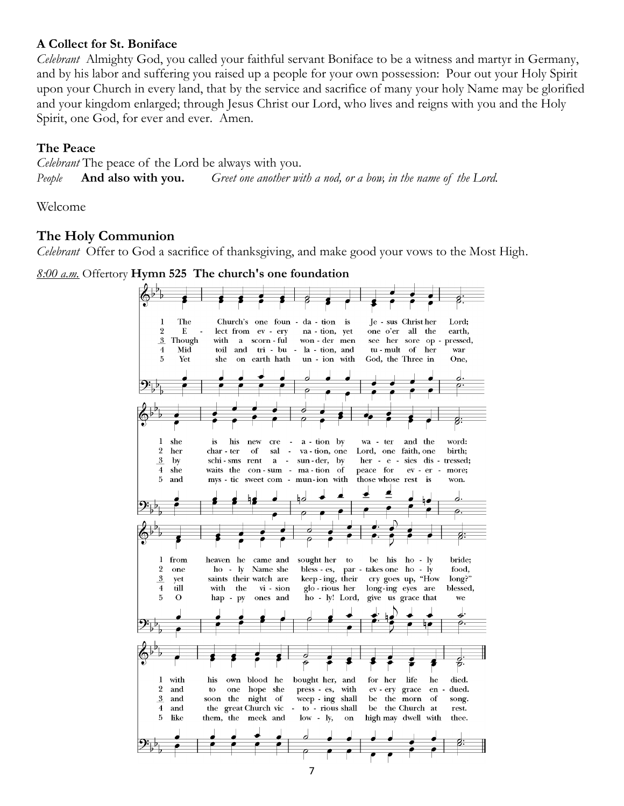### **A Collect for St. Boniface**

*Celebrant* Almighty God, you called your faithful servant Boniface to be a witness and martyr in Germany, and by his labor and suffering you raised up a people for your own possession: Pour out your Holy Spirit upon your Church in every land, that by the service and sacrifice of many your holy Name may be glorified and your kingdom enlarged; through Jesus Christ our Lord, who lives and reigns with you and the Holy Spirit, one God, for ever and ever. Amen.

### **The Peace**

*Celebrant* The peace of the Lord be always with you. *People* **And also with you.** *Greet one another with a nod, or a bow, in the name of the Lord.*

Welcome

# **The Holy Communion**

*Celebrant* Offer to God a sacrifice of thanksgiving, and make good your vows to the Most High.

*8:00 a.m.* Offertory **Hymn 525 The church's one foundation**

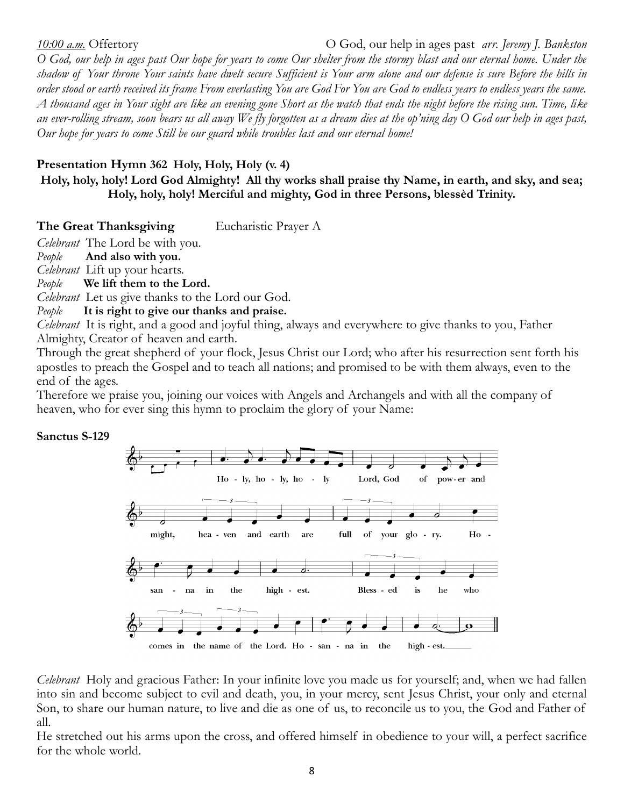*10:00 a.m.* Offertory O God, our help in ages past *arr. Jeremy J. Bankston O God, our help in ages past Our hope for years to come Our shelter from the stormy blast and our eternal home. Under the shadow of Your throne Your saints have dwelt secure Sufficient is Your arm alone and our defense is sure Before the hills in order stood or earth received its frame From everlasting You are God For You are God to endless years to endless years the same. A thousand ages in Your sight are like an evening gone Short as the watch that ends the night before the rising sun. Time, like an ever-rolling stream, soon bears us all away We fly forgotten as a dream dies at the op'ning day O God our help in ages past, Our hope for years to come Still be our guard while troubles last and our eternal home!*

## **Presentation Hymn 362 Holy, Holy, Holy (v. 4)**

**Holy, holy, holy! Lord God Almighty! All thy works shall praise thy Name, in earth, and sky, and sea; Holy, holy, holy! Merciful and mighty, God in three Persons, blessèd Trinity.**

**The Great Thanksgiving** Eucharistic Prayer A

*Celebrant* The Lord be with you.

*People* **And also with you.**

*Celebrant* Lift up your hearts.

*People* **We lift them to the Lord.**

*Celebrant* Let us give thanks to the Lord our God.

*People* **It is right to give our thanks and praise.**

*Celebrant* It is right, and a good and joyful thing, always and everywhere to give thanks to you, Father Almighty, Creator of heaven and earth.

Through the great shepherd of your flock, Jesus Christ our Lord; who after his resurrection sent forth his apostles to preach the Gospel and to teach all nations; and promised to be with them always, even to the end of the ages.

Therefore we praise you, joining our voices with Angels and Archangels and with all the company of heaven, who for ever sing this hymn to proclaim the glory of your Name:

#### **Sanctus S-129**



*Celebrant* Holy and gracious Father: In your infinite love you made us for yourself; and, when we had fallen into sin and become subject to evil and death, you, in your mercy, sent Jesus Christ, your only and eternal Son, to share our human nature, to live and die as one of us, to reconcile us to you, the God and Father of all.

He stretched out his arms upon the cross, and offered himself in obedience to your will, a perfect sacrifice for the whole world.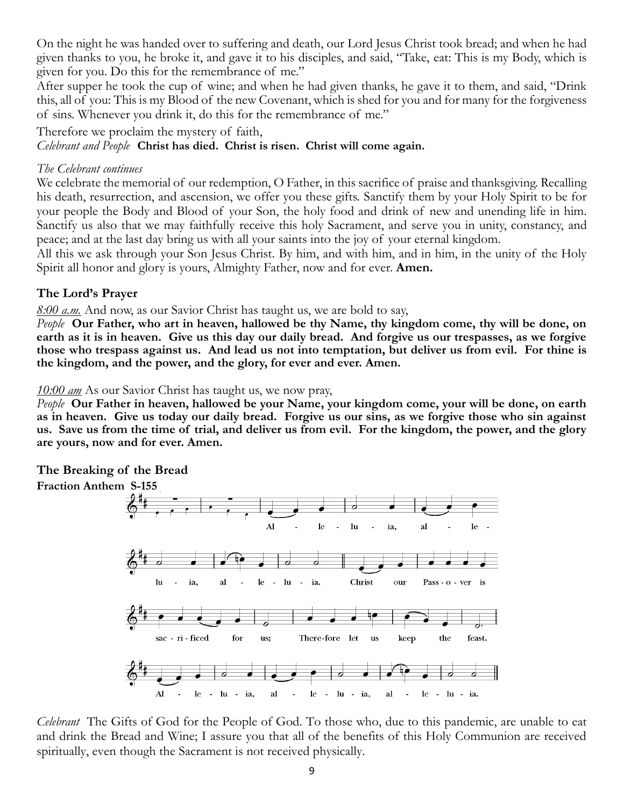On the night he was handed over to suffering and death, our Lord Jesus Christ took bread; and when he had given thanks to you, he broke it, and gave it to his disciples, and said, "Take, eat: This is my Body, which is given for you. Do this for the remembrance of me."

After supper he took the cup of wine; and when he had given thanks, he gave it to them, and said, "Drink this, all of you: This is my Blood of the new Covenant, which is shed for you and for many for the forgiveness of sins. Whenever you drink it, do this for the remembrance of me."

Therefore we proclaim the mystery of faith,

*Celebrant and People* **Christ has died. Christ is risen. Christ will come again.**

#### *The Celebrant continues*

We celebrate the memorial of our redemption, O Father, in this sacrifice of praise and thanksgiving. Recalling his death, resurrection, and ascension, we offer you these gifts. Sanctify them by your Holy Spirit to be for your people the Body and Blood of your Son, the holy food and drink of new and unending life in him. Sanctify us also that we may faithfully receive this holy Sacrament, and serve you in unity, constancy, and peace; and at the last day bring us with all your saints into the joy of your eternal kingdom.

All this we ask through your Son Jesus Christ. By him, and with him, and in him, in the unity of the Holy Spirit all honor and glory is yours, Almighty Father, now and for ever. **Amen.**

### **The Lord's Prayer**

*8:00 a.m.* And now, as our Savior Christ has taught us, we are bold to say,

*People* **Our Father, who art in heaven, hallowed be thy Name, thy kingdom come, thy will be done, on earth as it is in heaven. Give us this day our daily bread. And forgive us our trespasses, as we forgive those who trespass against us. And lead us not into temptation, but deliver us from evil. For thine is the kingdom, and the power, and the glory, for ever and ever. Amen.**

*10:00 am* As our Savior Christ has taught us, we now pray,

*People* **Our Father in heaven, hallowed be your Name, your kingdom come, your will be done, on earth as in heaven. Give us today our daily bread. Forgive us our sins, as we forgive those who sin against us. Save us from the time of trial, and deliver us from evil. For the kingdom, the power, and the glory are yours, now and for ever. Amen.**

#### **The Breaking of the Bread**



*Celebrant* The Gifts of God for the People of God. To those who, due to this pandemic, are unable to eat and drink the Bread and Wine; I assure you that all of the benefits of this Holy Communion are received spiritually, even though the Sacrament is not received physically.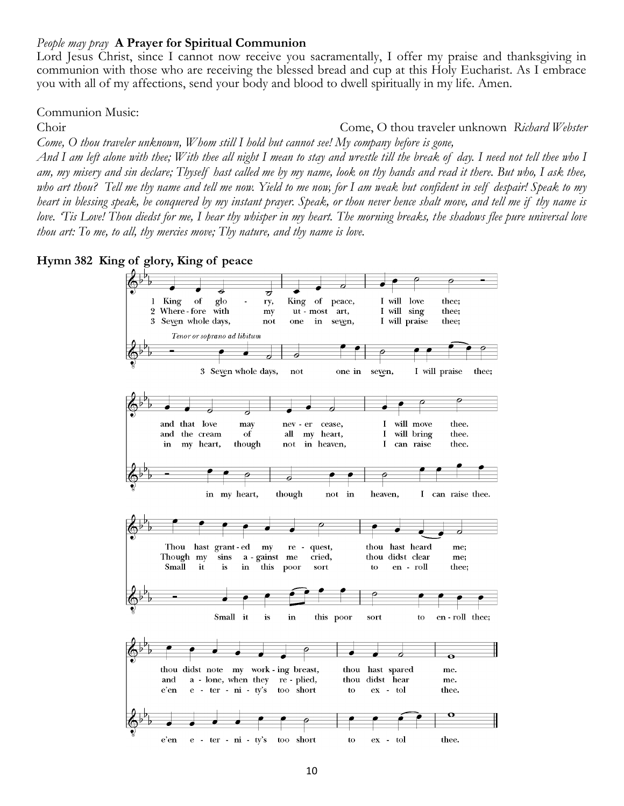#### *People may pray* **A Prayer for Spiritual Communion**

Lord Jesus Christ, since I cannot now receive you sacramentally, I offer my praise and thanksgiving in communion with those who are receiving the blessed bread and cup at this Holy Eucharist. As I embrace you with all of my affections, send your body and blood to dwell spiritually in my life. Amen.

Communion Music:

Choir Come, O thou traveler unknown *Richard Webster Come, O thou traveler unknown, Whom still I hold but cannot see! My company before is gone,*

*And I am left alone with thee; With thee all night I mean to stay and wrestle till the break of day. I need not tell thee who I am, my misery and sin declare; Thyself hast called me by my name, look on thy hands and read it there. But who, I ask thee, who art thou? Tell me thy name and tell me now. Yield to me now, for I am weak but confident in self despair! Speak to my heart in blessing speak, be conquered by my instant prayer. Speak, or thou never hence shalt move, and tell me if thy name is love. 'Tis Love! Thou diedst for me, I hear thy whisper in my heart. The morning breaks, the shadows flee pure universal love thou art: To me, to all, thy mercies move; Thy nature, and thy name is love.*

**Hymn 382 King of glory, King of peace**

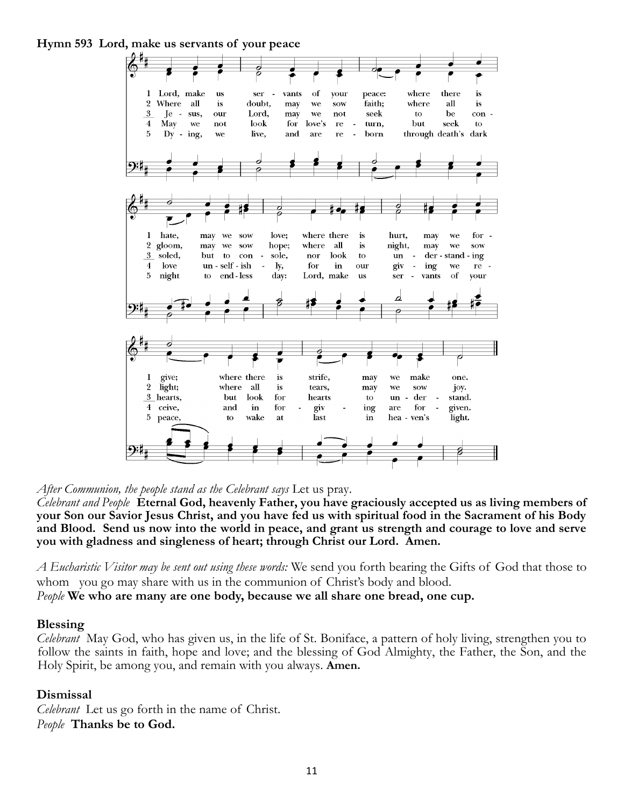**Hymn 593 Lord, make us servants of your peace**



*After Communion, the people stand as the Celebrant says* Let us pray.

*Celebrant and People* **Eternal God, heavenly Father, you have graciously accepted us as living members of your Son our Savior Jesus Christ, and you have fed us with spiritual food in the Sacrament of his Body and Blood. Send us now into the world in peace, and grant us strength and courage to love and serve you with gladness and singleness of heart; through Christ our Lord. Amen.**

*A Eucharistic Visitor may be sent out using these words:* We send you forth bearing the Gifts of God that those to whom you go may share with us in the communion of Christ's body and blood.

*People* **We who are many are one body, because we all share one bread, one cup.**

#### **Blessing**

*Celebrant* May God, who has given us, in the life of St. Boniface, a pattern of holy living, strengthen you to follow the saints in faith, hope and love; and the blessing of God Almighty, the Father, the Son, and the Holy Spirit, be among you, and remain with you always. **Amen.**

#### **Dismissal**

*Celebrant* Let us go forth in the name of Christ. *People* **Thanks be to God.**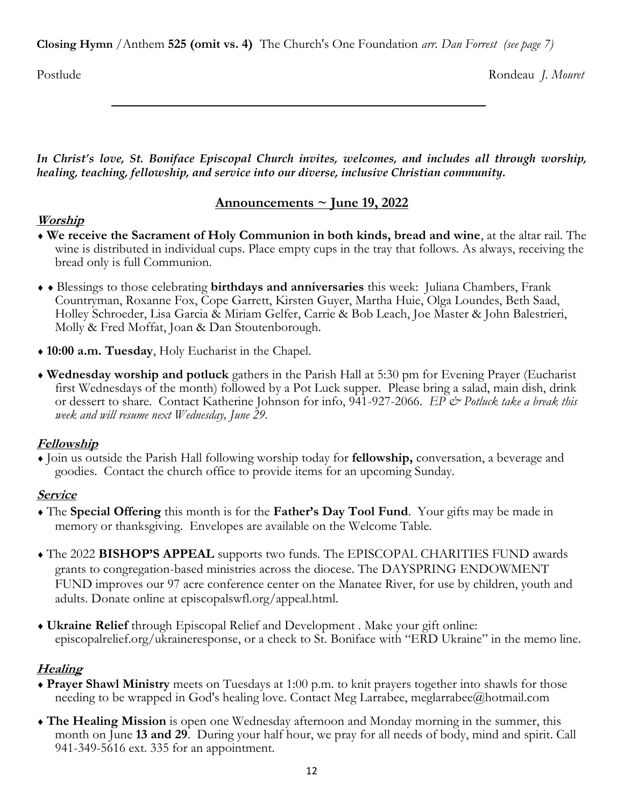**Closing Hymn** /Anthem **525 (omit vs. 4)** The Church's One Foundation *arr. Dan Forrest (see page 7)*

Postlude Rondeau *J. Mouret*

*In Christ's love, St. Boniface Episcopal Church invites, welcomes, and includes all through worship, healing, teaching, fellowship, and service into our diverse, inclusive Christian community.*

# **Announcements ~ June 19, 2022**

# **Worship**

- **We receive the Sacrament of Holy Communion in both kinds, bread and wine**, at the altar rail. The wine is distributed in individual cups. Place empty cups in the tray that follows. As always, receiving the bread only is full Communion.
- Blessings to those celebrating **birthdays and anniversaries** this week: Juliana Chambers, Frank Countryman, Roxanne Fox, Cope Garrett, Kirsten Guyer, Martha Huie, Olga Loundes, Beth Saad, Holley Schroeder, Lisa Garcia & Miriam Gelfer, Carrie & Bob Leach, Joe Master & John Balestrieri, Molly & Fred Moffat, Joan & Dan Stoutenborough.
- **10:00 a.m. Tuesday**, Holy Eucharist in the Chapel.
- **Wednesday worship and potluck** gathers in the Parish Hall at 5:30 pm for Evening Prayer (Eucharist first Wednesdays of the month) followed by a Pot Luck supper. Please bring a salad, main dish, drink or dessert to share. Contact Katherine Johnson for info, 941-927-2066. *EP & Potluck take a break this week and will resume next Wednesday, June 29.*

# **Fellowship**

 Join us outside the Parish Hall following worship today for **fellowship,** conversation, a beverage and goodies. Contact the church office to provide items for an upcoming Sunday.

# **Service**

- The **Special Offering** this month is for the **Father's Day Tool Fund**. Your gifts may be made in memory or thanksgiving. Envelopes are available on the Welcome Table.
- The 2022 **BISHOP'S APPEAL** supports two funds. The EPISCOPAL CHARITIES FUND awards grants to congregation-based ministries across the diocese. The DAYSPRING ENDOWMENT FUND improves our 97 acre conference center on the Manatee River, for use by children, youth and adults. Donate online at episcopalswfl.org/appeal.html.
- **Ukraine Relief** through Episcopal Relief and Development . Make your gift online: episcopalrelief.org/ukraineresponse, or a check to St. Boniface with "ERD Ukraine" in the memo line.

# **Healing**

- **Prayer Shawl Ministry** meets on Tuesdays at 1:00 p.m. to knit prayers together into shawls for those needing to be wrapped in God's healing love. Contact Meg Larrabee, meglarrabee@hotmail.com
- **The Healing Mission** is open one Wednesday afternoon and Monday morning in the summer, this month on June **13 and 29**. During your half hour, we pray for all needs of body, mind and spirit. Call 941-349-5616 ext. 335 for an appointment.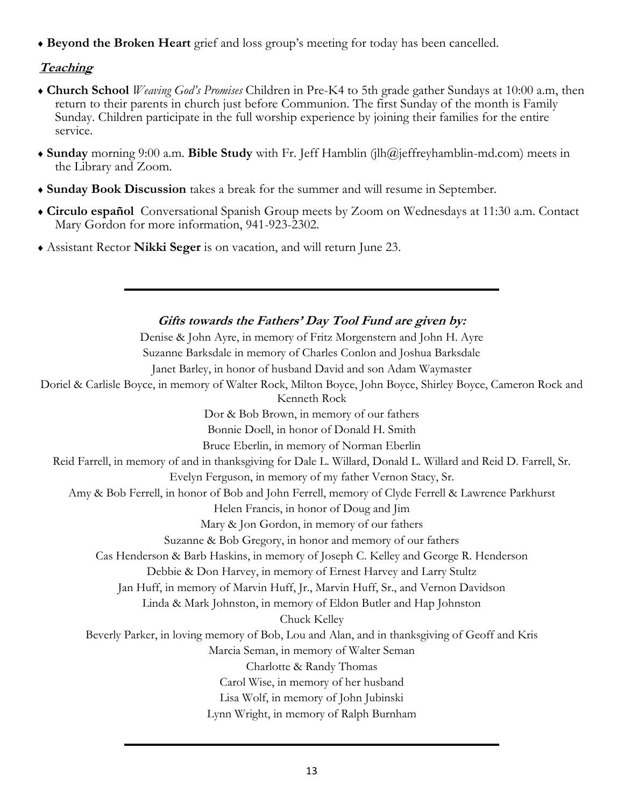**Beyond the Broken Heart** grief and loss group's meeting for today has been cancelled.

# **Teaching**

- **Church School** *Weaving God's Promises* Children in Pre-K4 to 5th grade gather Sundays at 10:00 a.m, then return to their parents in church just before Communion. The first Sunday of the month is Family Sunday. Children participate in the full worship experience by joining their families for the entire service.
- **Sunday** morning 9:00 a.m. **Bible Study** with Fr. Jeff Hamblin (jlh@jeffreyhamblin-md.com) meets in the Library and Zoom.
- **Sunday Book Discussion** takes a break for the summer and will resume in September.
- **Circulo español** Conversational Spanish Group meets by Zoom on Wednesdays at 11:30 a.m. Contact Mary Gordon for more information, 941-923-2302.
- Assistant Rector **Nikki Seger** is on vacation, and will return June 23.

**Gifts towards the Fathers' Day Tool Fund are given by:** Denise & John Ayre, in memory of Fritz Morgenstern and John H. Ayre Suzanne Barksdale in memory of Charles Conlon and Joshua Barksdale Janet Barley, in honor of husband David and son Adam Waymaster Doriel & Carlisle Boyce, in memory of Walter Rock, Milton Boyce, John Boyce, Shirley Boyce, Cameron Rock and Kenneth Rock Dor & Bob Brown, in memory of our fathers Bonnie Doell, in honor of Donald H. Smith Bruce Eberlin, in memory of Norman Eberlin Reid Farrell, in memory of and in thanksgiving for Dale L. Willard, Donald L. Willard and Reid D. Farrell, Sr. Evelyn Ferguson, in memory of my father Vernon Stacy, Sr. Amy & Bob Ferrell, in honor of Bob and John Ferrell, memory of Clyde Ferrell & Lawrence Parkhurst Helen Francis, in honor of Doug and Jim Mary & Jon Gordon, in memory of our fathers Suzanne & Bob Gregory, in honor and memory of our fathers Cas Henderson & Barb Haskins, in memory of Joseph C. Kelley and George R. Henderson Debbie & Don Harvey, in memory of Ernest Harvey and Larry Stultz Jan Huff, in memory of Marvin Huff, Jr., Marvin Huff, Sr., and Vernon Davidson Linda & Mark Johnston, in memory of Eldon Butler and Hap Johnston Chuck Kelley Beverly Parker, in loving memory of Bob, Lou and Alan, and in thanksgiving of Geoff and Kris Marcia Seman, in memory of Walter Seman Charlotte & Randy Thomas Carol Wise, in memory of her husband Lisa Wolf, in memory of John Jubinski Lynn Wright, in memory of Ralph Burnham